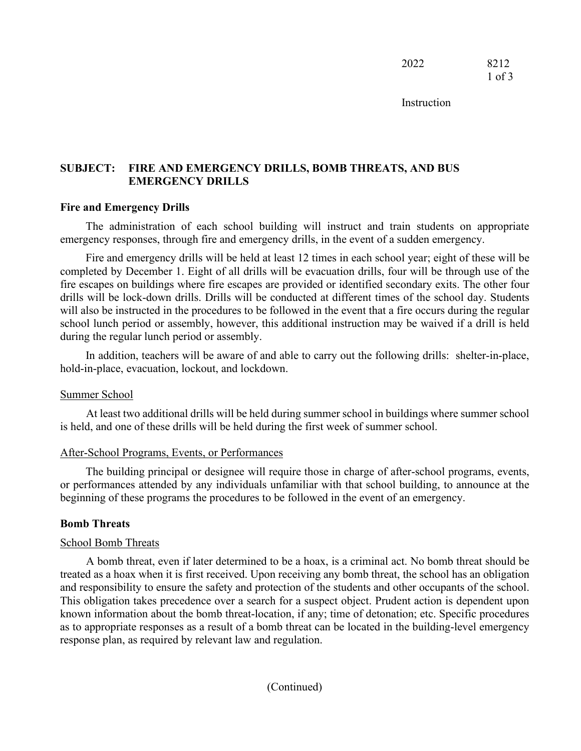Instruction

## **SUBJECT: FIRE AND EMERGENCY DRILLS, BOMB THREATS, AND BUS EMERGENCY DRILLS**

### **Fire and Emergency Drills**

The administration of each school building will instruct and train students on appropriate emergency responses, through fire and emergency drills, in the event of a sudden emergency.

Fire and emergency drills will be held at least 12 times in each school year; eight of these will be completed by December 1. Eight of all drills will be evacuation drills, four will be through use of the fire escapes on buildings where fire escapes are provided or identified secondary exits. The other four drills will be lock-down drills. Drills will be conducted at different times of the school day. Students will also be instructed in the procedures to be followed in the event that a fire occurs during the regular school lunch period or assembly, however, this additional instruction may be waived if a drill is held during the regular lunch period or assembly.

In addition, teachers will be aware of and able to carry out the following drills: shelter-in-place, hold-in-place, evacuation, lockout, and lockdown.

### Summer School

At least two additional drills will be held during summer school in buildings where summer school is held, and one of these drills will be held during the first week of summer school.

### After-School Programs, Events, or Performances

The building principal or designee will require those in charge of after-school programs, events, or performances attended by any individuals unfamiliar with that school building, to announce at the beginning of these programs the procedures to be followed in the event of an emergency.

### **Bomb Threats**

### School Bomb Threats

A bomb threat, even if later determined to be a hoax, is a criminal act. No bomb threat should be treated as a hoax when it is first received. Upon receiving any bomb threat, the school has an obligation and responsibility to ensure the safety and protection of the students and other occupants of the school. This obligation takes precedence over a search for a suspect object. Prudent action is dependent upon known information about the bomb threat-location, if any; time of detonation; etc. Specific procedures as to appropriate responses as a result of a bomb threat can be located in the building-level emergency response plan, as required by relevant law and regulation.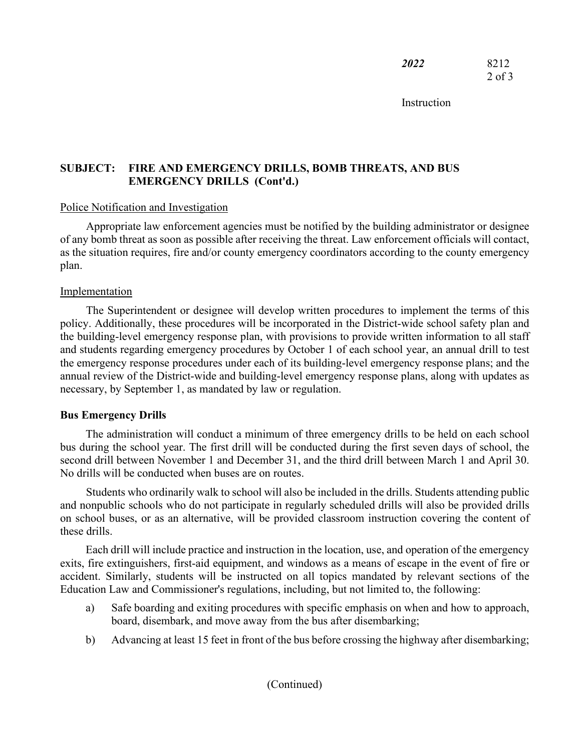**Instruction** 

# **SUBJECT: FIRE AND EMERGENCY DRILLS, BOMB THREATS, AND BUS EMERGENCY DRILLS (Cont'd.)**

## Police Notification and Investigation

Appropriate law enforcement agencies must be notified by the building administrator or designee of any bomb threat as soon as possible after receiving the threat. Law enforcement officials will contact, as the situation requires, fire and/or county emergency coordinators according to the county emergency plan.

## Implementation

The Superintendent or designee will develop written procedures to implement the terms of this policy. Additionally, these procedures will be incorporated in the District-wide school safety plan and the building-level emergency response plan, with provisions to provide written information to all staff and students regarding emergency procedures by October 1 of each school year, an annual drill to test the emergency response procedures under each of its building-level emergency response plans; and the annual review of the District-wide and building-level emergency response plans, along with updates as necessary, by September 1, as mandated by law or regulation.

# **Bus Emergency Drills**

The administration will conduct a minimum of three emergency drills to be held on each school bus during the school year. The first drill will be conducted during the first seven days of school, the second drill between November 1 and December 31, and the third drill between March 1 and April 30. No drills will be conducted when buses are on routes.

Students who ordinarily walk to school will also be included in the drills. Students attending public and nonpublic schools who do not participate in regularly scheduled drills will also be provided drills on school buses, or as an alternative, will be provided classroom instruction covering the content of these drills.

Each drill will include practice and instruction in the location, use, and operation of the emergency exits, fire extinguishers, first-aid equipment, and windows as a means of escape in the event of fire or accident. Similarly, students will be instructed on all topics mandated by relevant sections of the Education Law and Commissioner's regulations, including, but not limited to, the following:

- a) Safe boarding and exiting procedures with specific emphasis on when and how to approach, board, disembark, and move away from the bus after disembarking;
- b) Advancing at least 15 feet in front of the bus before crossing the highway after disembarking;